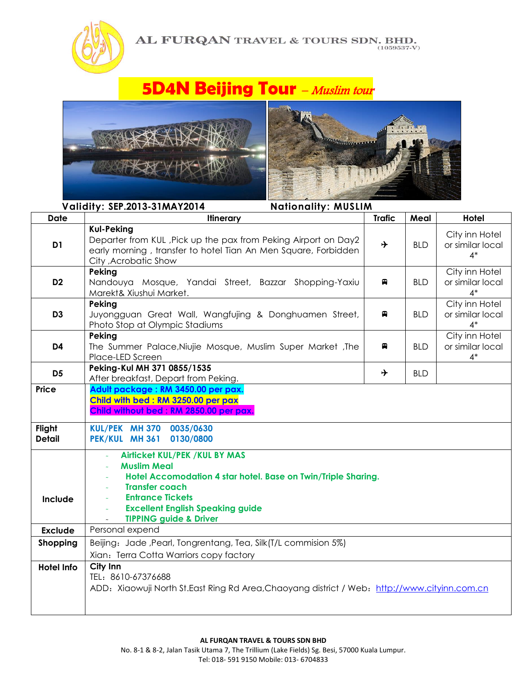

## **5D4N Beijing Tour** - Muslim tour





| Validity: SEP.2013-31MAY2014<br><b>Nationality: MUSLIM</b> |                                                                                                                                                                                                                                                                  |               |            |                                             |
|------------------------------------------------------------|------------------------------------------------------------------------------------------------------------------------------------------------------------------------------------------------------------------------------------------------------------------|---------------|------------|---------------------------------------------|
| <b>Date</b>                                                | <b>Itinerary</b>                                                                                                                                                                                                                                                 | <b>Trafic</b> | Meal       | Hotel                                       |
| D <sub>1</sub>                                             | <b>Kul-Peking</b><br>Departer from KUL, Pick up the pax from Peking Airport on Day2<br>early morning, transfer to hotel Tian An Men Square, Forbidden<br>City , Acrobatic Show                                                                                   | ⊁             | <b>BLD</b> | City inn Hotel<br>or similar local<br>$4*$  |
| D <sub>2</sub>                                             | Peking<br>Nandouya Mosque, Yandai Street, Bazzar Shopping-Yaxiu<br>Marekt& Xiushui Market.                                                                                                                                                                       | e             | <b>BLD</b> | City inn Hotel<br>or similar local<br>$4*$  |
| D <sub>3</sub>                                             | Peking<br>Juyongguan Great Wall, Wangfujing & Donghuamen Street,<br>Photo Stop at Olympic Stadiums                                                                                                                                                               | Я             | <b>BLD</b> | City inn Hotel<br>or similar local<br>$4^*$ |
| D <sub>4</sub>                                             | Peking<br>The Summer Palace, Niujie Mosque, Muslim Super Market, The<br>Place-LED Screen                                                                                                                                                                         | e             | <b>BLD</b> | City inn Hotel<br>or similar local<br>$4*$  |
| D <sub>5</sub>                                             | Peking-Kul MH 371 0855/1535<br>After breakfast, Depart from Peking.                                                                                                                                                                                              | →             | <b>BLD</b> |                                             |
| <b>Price</b>                                               | Adult package: RM 3450.00 per pax.<br>Child with bed: RM 3250.00 per pax<br>Child without bed: RM 2850.00 per pax.                                                                                                                                               |               |            |                                             |
| Flight<br><b>Detail</b>                                    | 0035/0630<br>KUL/PEK MH 370<br>0130/0800<br>PEK/KUL MH 361                                                                                                                                                                                                       |               |            |                                             |
| Include                                                    | <b>Airlicket KUL/PEK / KUL BY MAS</b><br><b>Muslim Meal</b><br>Hotel Accomodation 4 star hotel. Base on Twin/Triple Sharing.<br><b>Transfer coach</b><br><b>Entrance Tickets</b><br><b>Excellent English Speaking guide</b><br><b>TIPPING guide &amp; Driver</b> |               |            |                                             |
| <b>Exclude</b>                                             | Personal expend                                                                                                                                                                                                                                                  |               |            |                                             |
| Shopping                                                   | Beijing: Jade, Pearl, Tongrentang, Tea, Silk(T/L commision 5%)<br>Xian: Terra Cotta Warriors copy factory                                                                                                                                                        |               |            |                                             |
| <b>Hotel Info</b>                                          | City Inn<br>TEL: 8610-67376688<br>ADD: Xiaowuji North St.East Ring Rd Area, Chaoyang district / Web: http://www.cityinn.com.cn                                                                                                                                   |               |            |                                             |

Tel: 018- 591 9150 Mobile: 013- 6704833